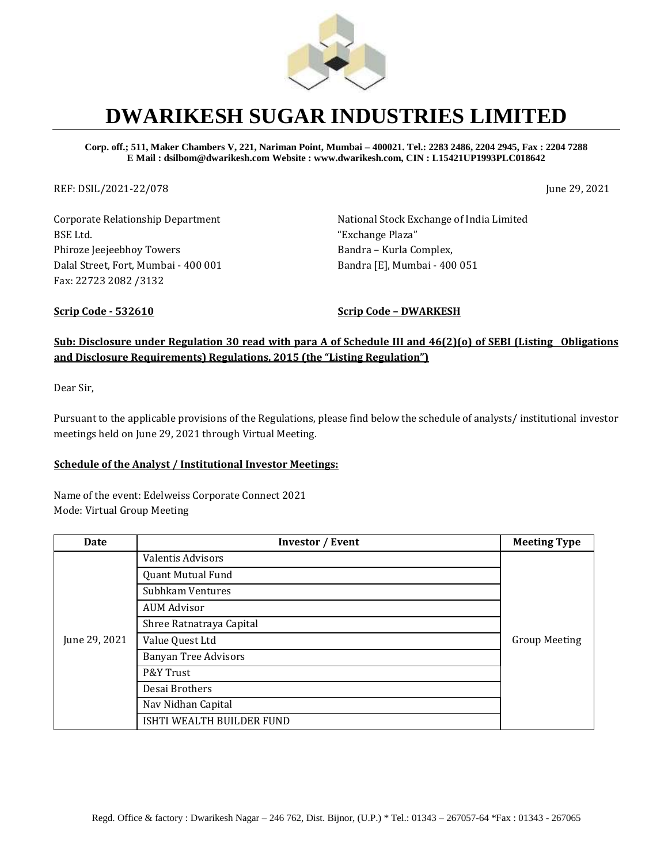

## **DWARIKESH SUGAR INDUSTRIES LIMITED**

**Corp. off.; 511, Maker Chambers V, 221, Nariman Point, Mumbai – 400021. Tel.: 2283 2486, 2204 2945, Fax : 2204 7288 E Mail : dsilbom@dwarikesh.com Website : www.dwarikesh.com, CIN : L15421UP1993PLC018642**

REF: DSIL/2021-22/078 June 29, 2021

Corporate Relationship Department BSE Ltd. Phiroze Jeejeebhoy Towers Dalal Street, Fort, Mumbai - 400 001 Fax: 22723 2082 /3132

National Stock Exchange of India Limited "Exchange Plaza" Bandra – Kurla Complex, Bandra [E], Mumbai - 400 051

**Scrip Code - 532610 Scrip Code – DWARKESH**

## **Sub: Disclosure under Regulation 30 read with para A of Schedule III and 46(2)(o) of SEBI (Listing Obligations and Disclosure Requirements) Regulations, 2015 (the "Listing Regulation")**

Dear Sir,

Pursuant to the applicable provisions of the Regulations, please find below the schedule of analysts/ institutional investor meetings held on June 29, 2021 through Virtual Meeting.

## **Schedule of the Analyst / Institutional Investor Meetings:**

Name of the event: Edelweiss Corporate Connect 2021 Mode: Virtual Group Meeting

| Date          | <b>Investor / Event</b>     | <b>Meeting Type</b>  |
|---------------|-----------------------------|----------------------|
| June 29, 2021 | <b>Valentis Advisors</b>    | <b>Group Meeting</b> |
|               | <b>Quant Mutual Fund</b>    |                      |
|               | Subhkam Ventures            |                      |
|               | <b>AUM Advisor</b>          |                      |
|               | Shree Ratnatraya Capital    |                      |
|               | Value Quest Ltd             |                      |
|               | <b>Banyan Tree Advisors</b> |                      |
|               | P&Y Trust                   |                      |
|               | Desai Brothers              |                      |
|               | Nav Nidhan Capital          |                      |
|               | ISHTI WEALTH BUILDER FUND   |                      |